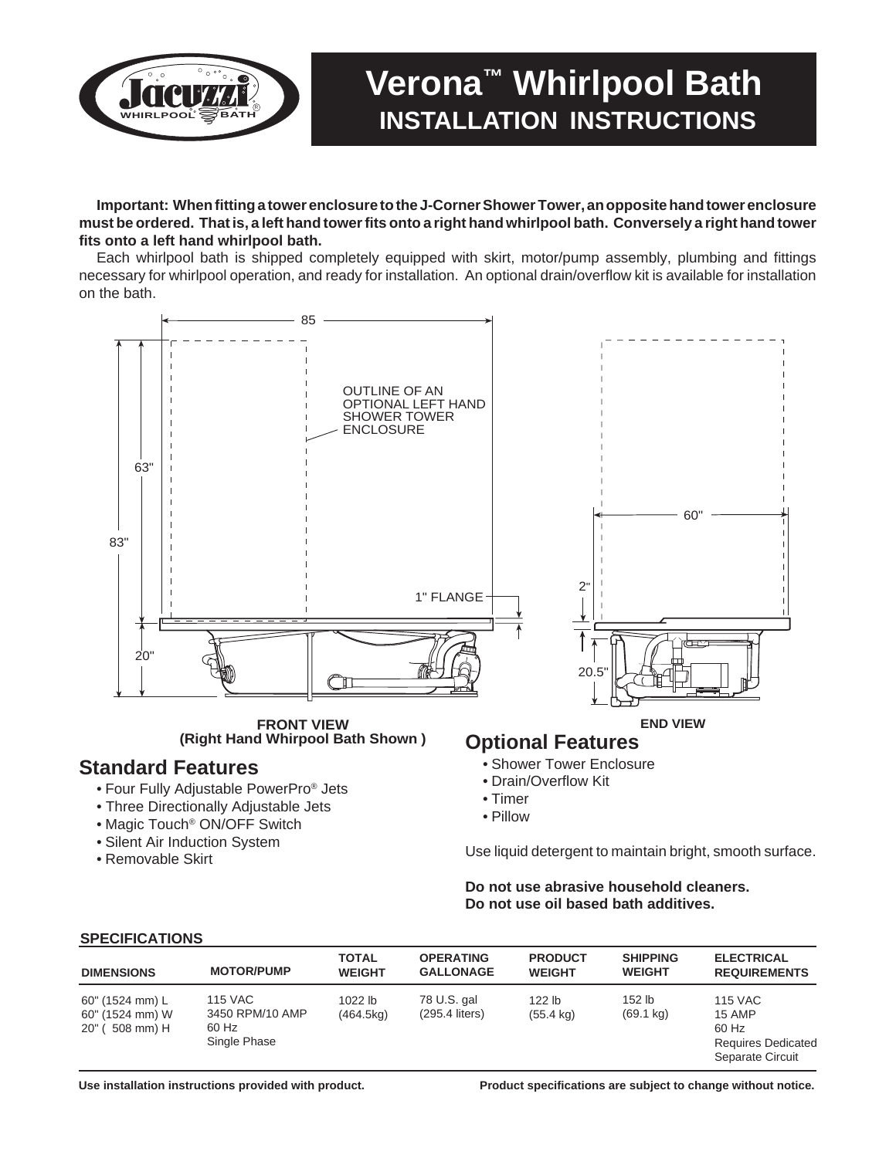

# **Verona™ Whirlpool Bath INSTALLATION INSTRUCTIONS**

**Important: When fitting a tower enclosure to the J-Corner Shower Tower, an opposite hand tower enclosure must be ordered. That is, a left hand tower fits onto a right hand whirlpool bath. Conversely a right hand tower fits onto a left hand whirlpool bath.**

Each whirlpool bath is shipped completely equipped with skirt, motor/pump assembly, plumbing and fittings necessary for whirlpool operation, and ready for installation. An optional drain/overflow kit is available for installation on the bath.



**FRONT VIEW (Right Hand Whirpool Bath Shown )**

# **Standard Features**

- Four Fully Adjustable PowerPro® Jets
- Three Directionally Adjustable Jets
- Magic Touch® ON/OFF Switch
- Silent Air Induction System
- Removable Skirt

#### **Optional Features END VIEW**

- Shower Tower Enclosure
- Drain/Overflow Kit
- Timer
- Pillow

Use liquid detergent to maintain bright, smooth surface.

#### **Do not use abrasive household cleaners. Do not use oil based bath additives.**

|--|

| ---------------                                              |                                                            | <b>TOTAL</b>           | <b>OPERATING</b>                | <b>PRODUCT</b>                           | <b>SHIPPING</b>                 | <b>ELECTRICAL</b>                                                                  |
|--------------------------------------------------------------|------------------------------------------------------------|------------------------|---------------------------------|------------------------------------------|---------------------------------|------------------------------------------------------------------------------------|
| <b>DIMENSIONS</b>                                            | <b>MOTOR/PUMP</b>                                          | <b>WEIGHT</b>          | <b>GALLONAGE</b>                | <b>WEIGHT</b>                            | <b>WEIGHT</b>                   | <b>REQUIREMENTS</b>                                                                |
| 60" (1524 mm) L<br>60" (1524 mm) W<br>$20"$ (<br>$508$ mm) H | <b>115 VAC</b><br>3450 RPM/10 AMP<br>60 Hz<br>Single Phase | $1022$ lb<br>(464.5kg) | 78 U.S. gal<br>$(295.4$ liters) | 122 <sub>lb</sub><br>$(55.4 \text{ kg})$ | $152$ lb<br>$(69.1 \text{ kg})$ | <b>115 VAC</b><br>15 AMP<br>60 Hz<br><b>Requires Dedicated</b><br>Separate Circuit |

 **Use installation instructions provided with product. Product specifications are subject to change without notice.**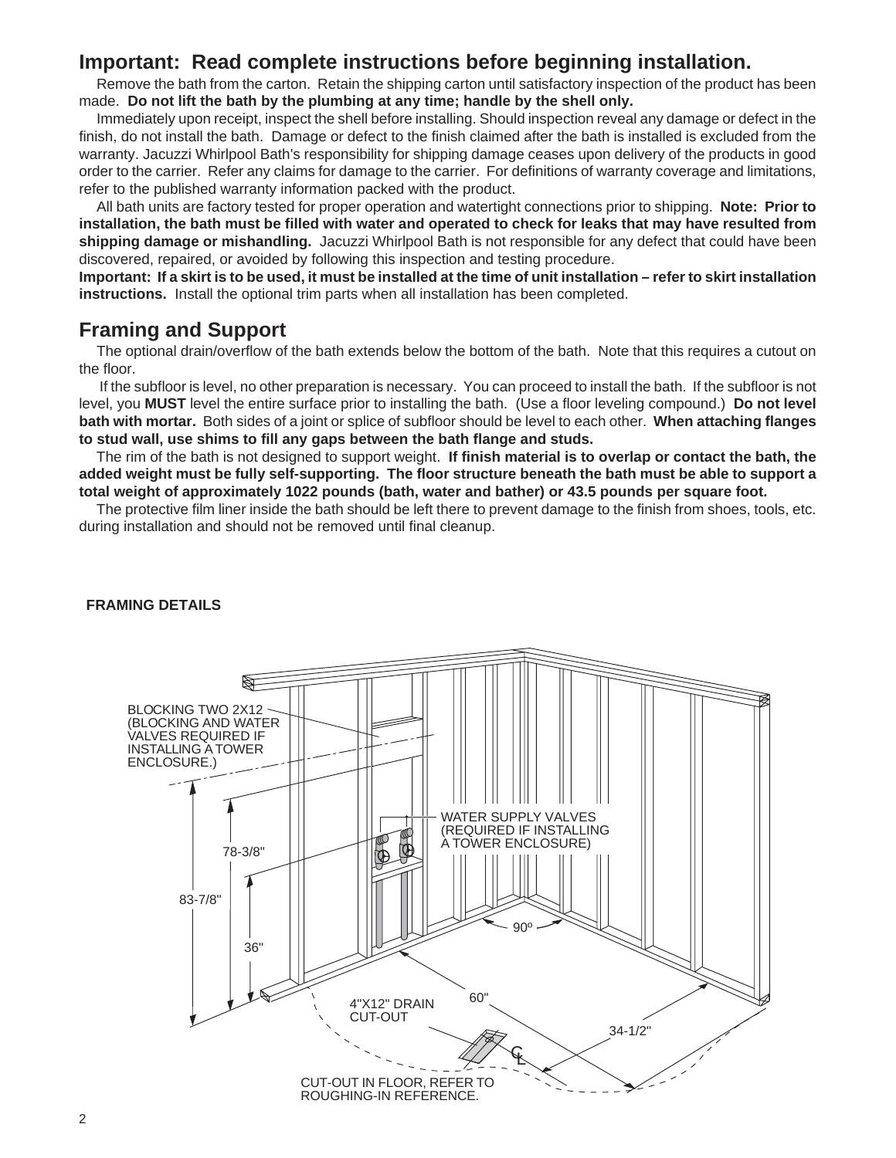# **Important: Read complete instructions before beginning installation.**

Remove the bath from the carton. Retain the shipping carton until satisfactory inspection of the product has been made. **Do not lift the bath by the plumbing at any time; handle by the shell only.**

Immediately upon receipt, inspect the shell before installing. Should inspection reveal any damage or defect in the finish, do not install the bath. Damage or defect to the finish claimed after the bath is installed is excluded from the warranty. Jacuzzi Whirlpool Bath's responsibility for shipping damage ceases upon delivery of the products in good order to the carrier. Refer any claims for damage to the carrier. For definitions of warranty coverage and limitations, refer to the published warranty information packed with the product.

All bath units are factory tested for proper operation and watertight connections prior to shipping. **Note: Prior to installation, the bath must be filled with water and operated to check for leaks that may have resulted from shipping damage or mishandling.** Jacuzzi Whirlpool Bath is not responsible for any defect that could have been discovered, repaired, or avoided by following this inspection and testing procedure.

**Important: If a skirt is to be used, it must be installed at the time of unit installation – refer to skirt installation instructions.** Install the optional trim parts when all installation has been completed.

# **Framing and Support**

The optional drain/overflow of the bath extends below the bottom of the bath. Note that this requires a cutout on the floor.

If the subfloor is level, no other preparation is necessary. You can proceed to install the bath.If the subfloor is not level, you **MUST** level the entire surface prior to installing the bath. (Use a floor leveling compound.) **Do not level bath with mortar.** Both sides of a joint or splice of subfloor should be level to each other. **When attaching flanges to stud wall, use shims to fill any gaps between the bath flange and studs.**

The rim of the bath is not designed to support weight. **If finish material is to overlap or contact the bath, the added weight must be fully self-supporting. The floor structure beneath the bath must be able to support a total weight of approximately 1022 pounds (bath, water and bather) or 43.5 pounds per square foot.**

The protective film liner inside the bath should be left there to prevent damage to the finish from shoes, tools, etc. during installation and should not be removed until final cleanup.



#### **FRAMING DETAILS**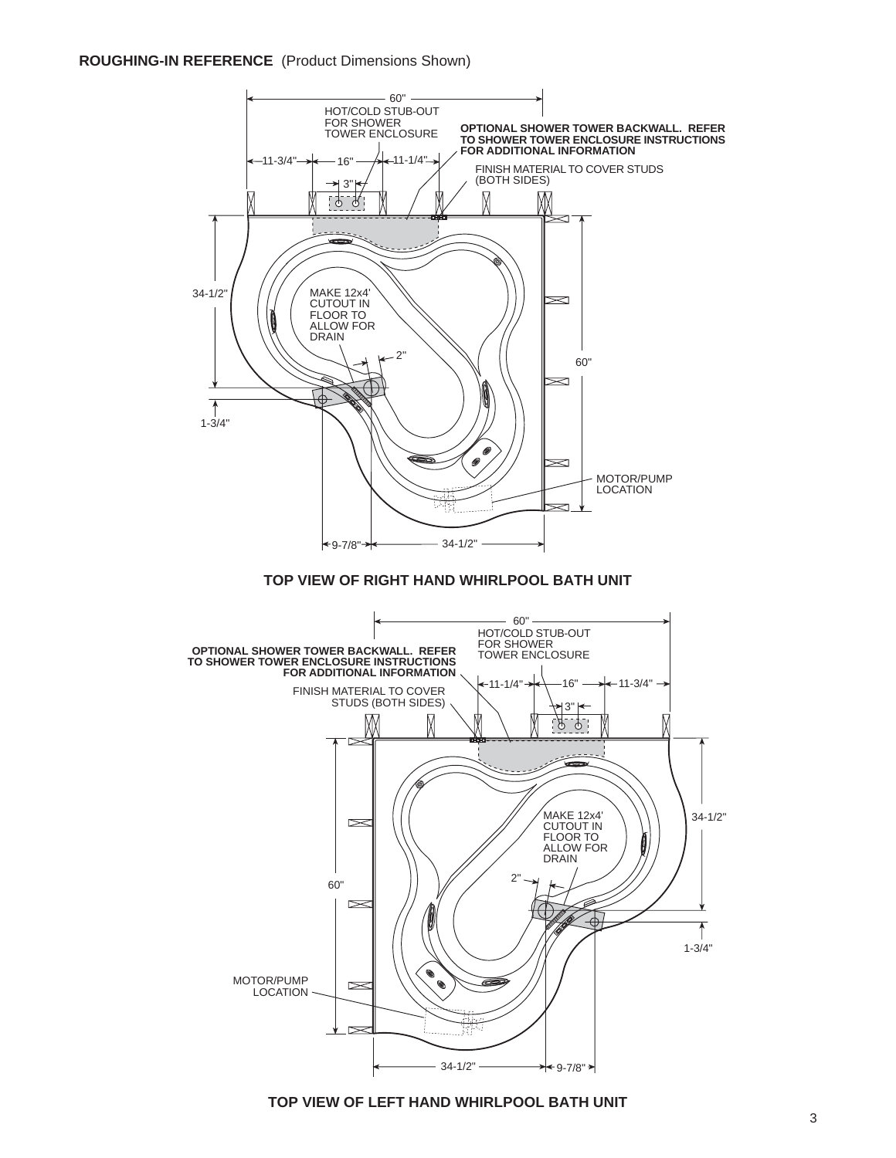#### **TOP VIEW OF LEFT HAND WHIRLPOOL BATH UNIT**



#### **ROUGHING-IN REFERENCE** (Product Dimensions Shown)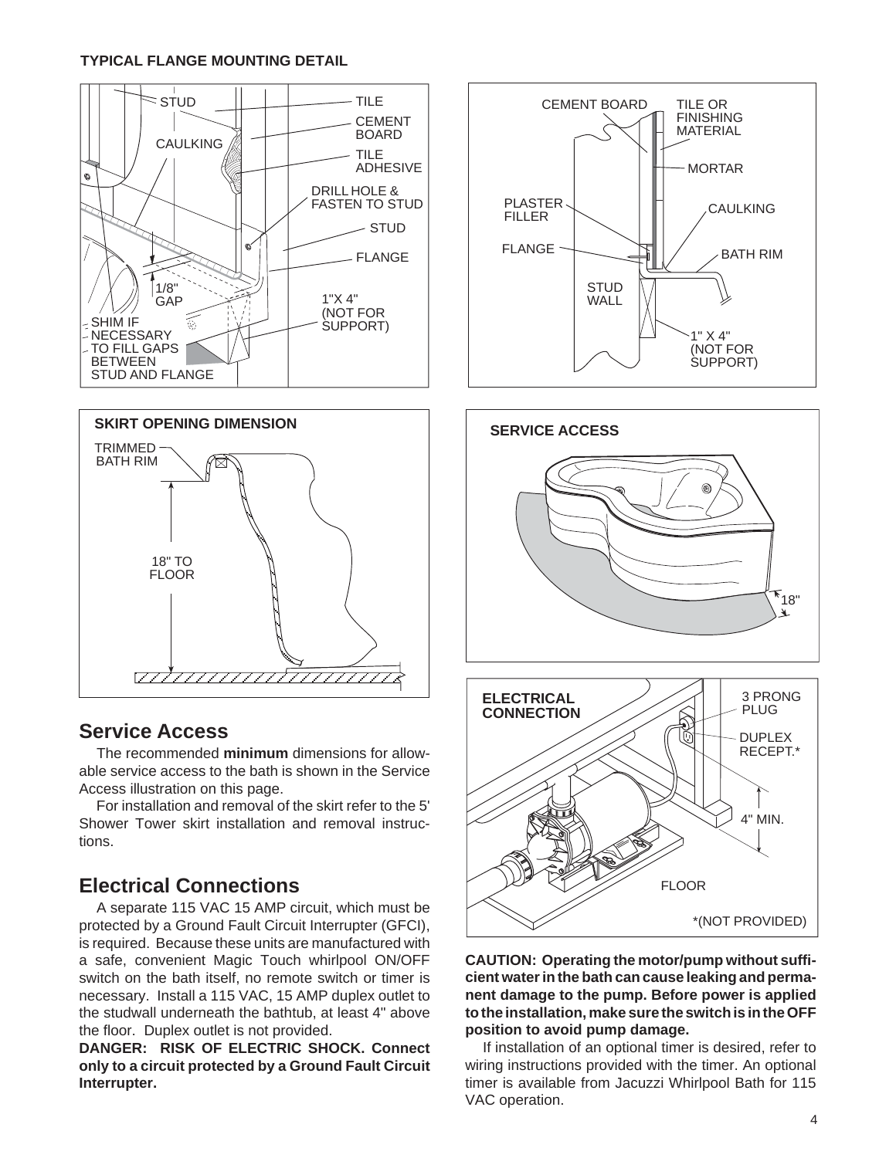#### **TYPICAL FLANGE MOUNTING DETAIL**





# **Service Access**

The recommended **minimum** dimensions for allowable service access to the bath is shown in the Service Access illustration on this page.

For installation and removal of the skirt refer to the 5' Shower Tower skirt installation and removal instructions.

# **Electrical Connections**

A separate 115 VAC 15 AMP circuit, which must be protected by a Ground Fault Circuit Interrupter (GFCI), is required. Because these units are manufactured with a safe, convenient Magic Touch whirlpool ON/OFF switch on the bath itself, no remote switch or timer is necessary. Install a 115 VAC, 15 AMP duplex outlet to the studwall underneath the bathtub, at least 4" above the floor. Duplex outlet is not provided.

**DANGER: RISK OF ELECTRIC SHOCK. Connect only to a circuit protected by a Ground Fault Circuit Interrupter.**





#### **CAUTION: Operating the motor/pump without sufficient water in the bath can cause leaking and permanent damage to the pump. Before power is applied to the installation, make sure the switch is in the OFF position to avoid pump damage.**

FLOOR

\*(NOT PROVIDED)

If installation of an optional timer is desired, refer to wiring instructions provided with the timer. An optional timer is available from Jacuzzi Whirlpool Bath for 115 VAC operation.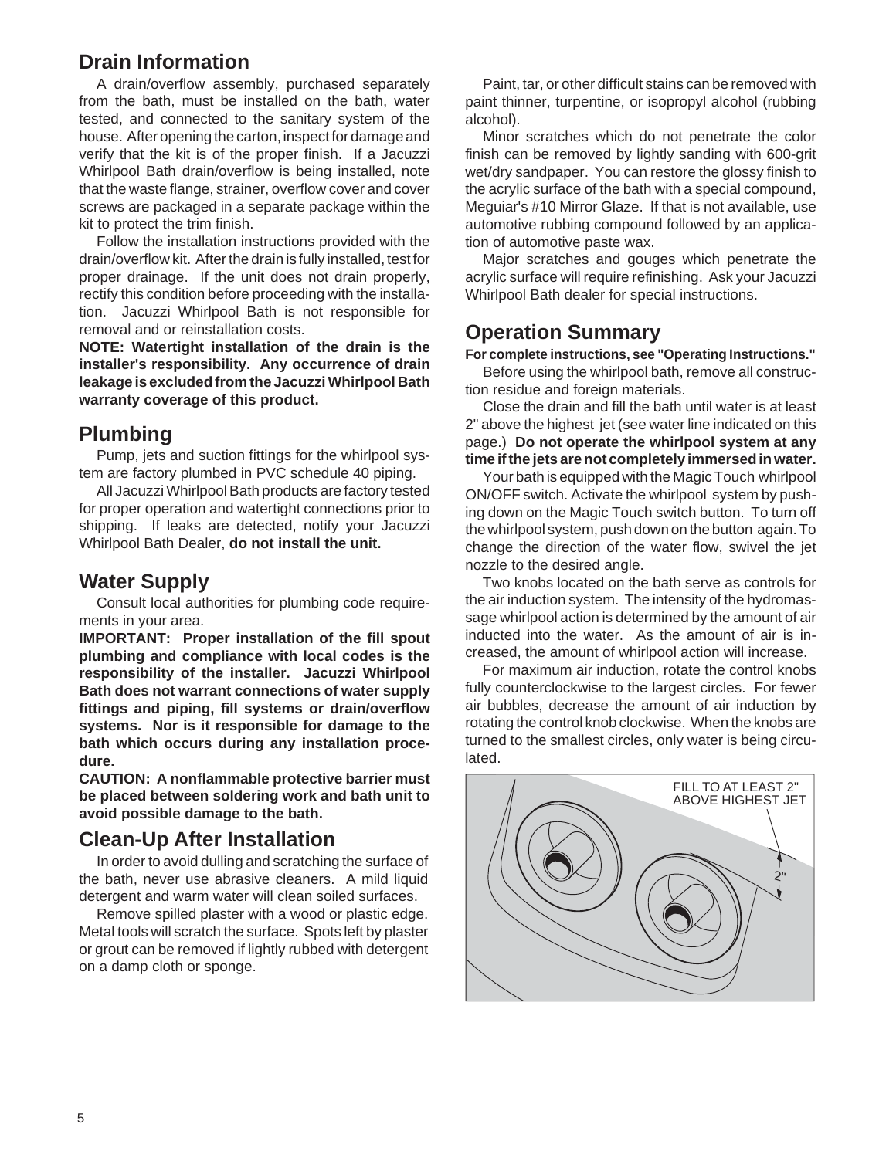# **Drain Information**

A drain/overflow assembly, purchased separately from the bath, must be installed on the bath, water tested, and connected to the sanitary system of the house. After opening the carton, inspect for damage and verify that the kit is of the proper finish. If a Jacuzzi Whirlpool Bath drain/overflow is being installed, note that the waste flange, strainer, overflow cover and cover screws are packaged in a separate package within the kit to protect the trim finish.

Follow the installation instructions provided with the drain/overflow kit. After the drain is fully installed, test for proper drainage. If the unit does not drain properly, rectify this condition before proceeding with the installation. Jacuzzi Whirlpool Bath is not responsible for removal and or reinstallation costs.

**NOTE: Watertight installation of the drain is the installer's responsibility. Any occurrence of drain leakage is excluded from the Jacuzzi Whirlpool Bath warranty coverage of this product.**

# **Plumbing**

Pump, jets and suction fittings for the whirlpool system are factory plumbed in PVC schedule 40 piping.

All Jacuzzi Whirlpool Bath products are factory tested for proper operation and watertight connections prior to shipping. If leaks are detected, notify your Jacuzzi Whirlpool Bath Dealer, **do not install the unit.**

#### **Water Supply**

Consult local authorities for plumbing code requirements in your area.

**IMPORTANT: Proper installation of the fill spout plumbing and compliance with local codes is the responsibility of the installer. Jacuzzi Whirlpool Bath does not warrant connections of water supply fittings and piping, fill systems or drain/overflow systems. Nor is it responsible for damage to the bath which occurs during any installation procedure.**

**CAUTION: A nonflammable protective barrier must be placed between soldering work and bath unit to avoid possible damage to the bath.**

# **Clean-Up After Installation**

In order to avoid dulling and scratching the surface of the bath, never use abrasive cleaners. A mild liquid detergent and warm water will clean soiled surfaces.

Remove spilled plaster with a wood or plastic edge. Metal tools will scratch the surface. Spots left by plaster or grout can be removed if lightly rubbed with detergent on a damp cloth or sponge.

Paint, tar, or other difficult stains can be removed with paint thinner, turpentine, or isopropyl alcohol (rubbing alcohol).

Minor scratches which do not penetrate the color finish can be removed by lightly sanding with 600-grit wet/dry sandpaper. You can restore the glossy finish to the acrylic surface of the bath with a special compound, Meguiar's #10 Mirror Glaze. If that is not available, use automotive rubbing compound followed by an application of automotive paste wax.

Major scratches and gouges which penetrate the acrylic surface will require refinishing. Ask your Jacuzzi Whirlpool Bath dealer for special instructions.

# **Operation Summary**

**For complete instructions, see "Operating Instructions."**

Before using the whirlpool bath, remove all construction residue and foreign materials.

Close the drain and fill the bath until water is at least 2" above the highest jet (see water line indicated on this page.) **Do not operate the whirlpool system at any time if the jets are not completely immersed in water.**

Your bath is equipped with the Magic Touch whirlpool ON/OFF switch. Activate the whirlpool system by pushing down on the Magic Touch switch button. To turn off the whirlpool system, push down on the button again. To change the direction of the water flow, swivel the jet nozzle to the desired angle.

Two knobs located on the bath serve as controls for the air induction system. The intensity of the hydromassage whirlpool action is determined by the amount of air inducted into the water. As the amount of air is increased, the amount of whirlpool action will increase.

For maximum air induction, rotate the control knobs fully counterclockwise to the largest circles. For fewer air bubbles, decrease the amount of air induction by rotating the control knob clockwise. When the knobs are turned to the smallest circles, only water is being circulated.